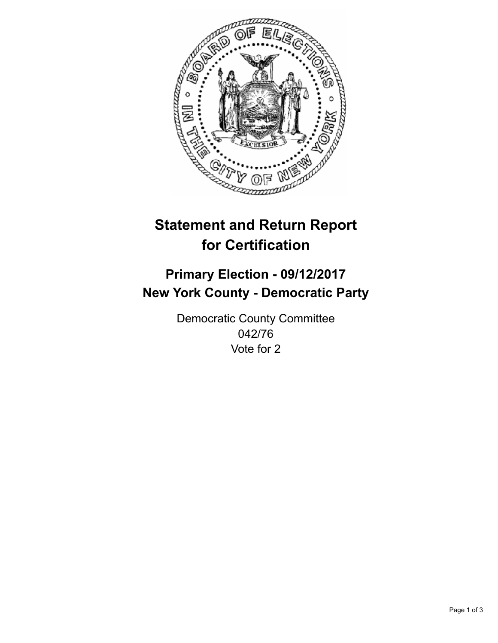

## **Statement and Return Report for Certification**

## **Primary Election - 09/12/2017 New York County - Democratic Party**

Democratic County Committee 042/76 Vote for 2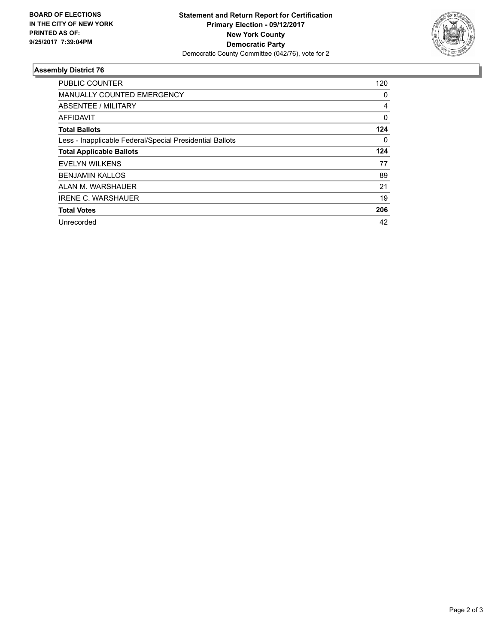

## **Assembly District 76**

| <b>PUBLIC COUNTER</b>                                    | 120 |
|----------------------------------------------------------|-----|
| <b>MANUALLY COUNTED EMERGENCY</b>                        | 0   |
| ABSENTEE / MILITARY                                      | 4   |
| AFFIDAVIT                                                | 0   |
| <b>Total Ballots</b>                                     | 124 |
| Less - Inapplicable Federal/Special Presidential Ballots | 0   |
| <b>Total Applicable Ballots</b>                          | 124 |
| <b>EVELYN WILKENS</b>                                    | 77  |
| <b>BENJAMIN KALLOS</b>                                   | 89  |
| ALAN M. WARSHAUER                                        | 21  |
| <b>IRENE C. WARSHAUER</b>                                | 19  |
| <b>Total Votes</b>                                       | 206 |
| Unrecorded                                               | 42  |